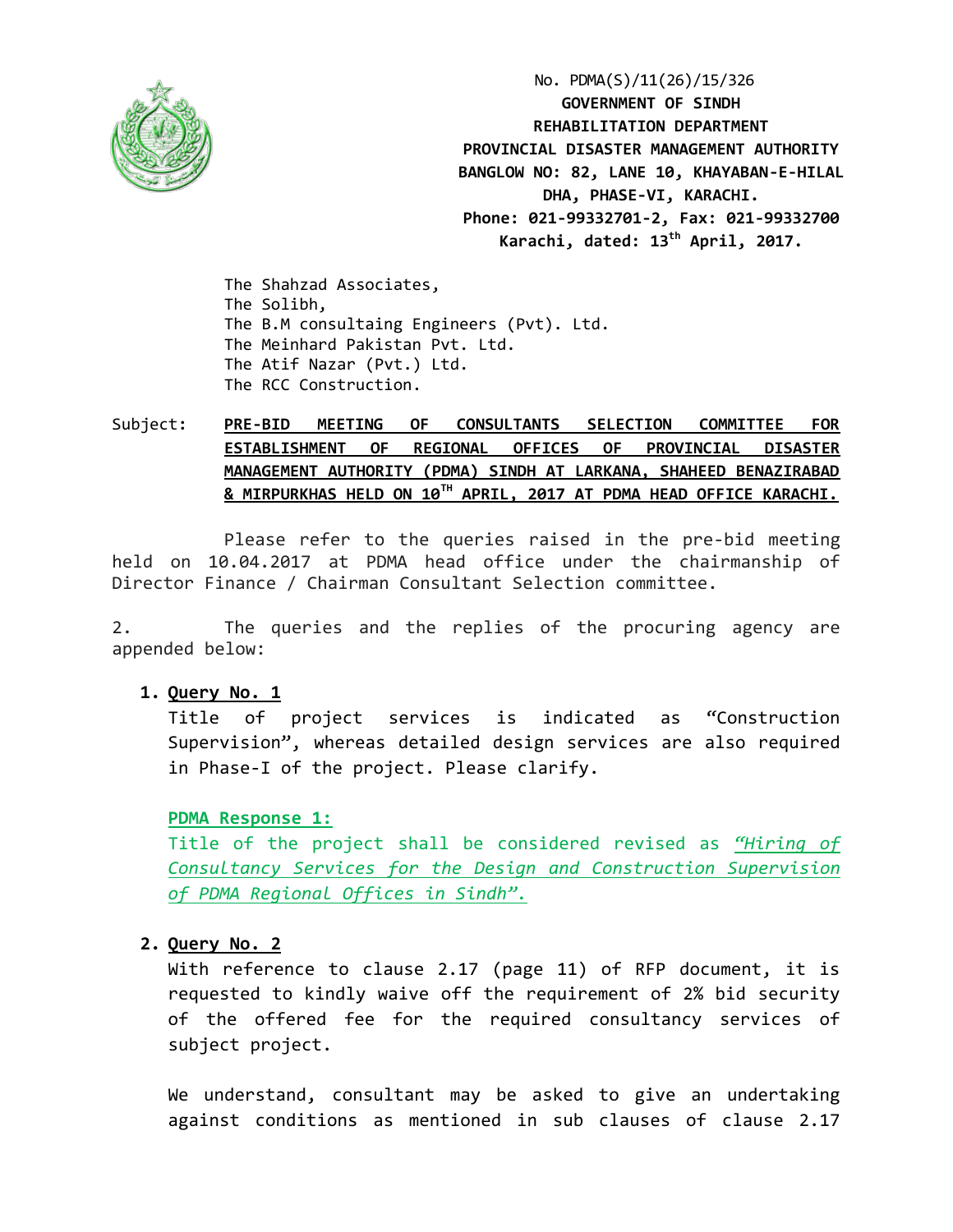

No. PDMA(S)/11(26)/15/326 **GOVERNMENT OF SINDH REHABILITATION DEPARTMENT PROVINCIAL DISASTER MANAGEMENT AUTHORITY BANGLOW NO: 82, LANE 10, KHAYABAN-E-HILAL DHA, PHASE-VI, KARACHI. Phone: 021-99332701-2, Fax: 021-99332700 Karachi, dated: 13 th April, 2017.**

The Shahzad Associates, The Solibh, The B.M consultaing Engineers (Pvt). Ltd. The Meinhard Pakistan Pvt. Ltd. The Atif Nazar (Pvt.) Ltd. The RCC Construction.

# Subject**: PRE-BID MEETING OF CONSULTANTS SELECTION COMMITTEE FOR ESTABLISHMENT OF REGIONAL OFFICES OF PROVINCIAL DISASTER MANAGEMENT AUTHORITY (PDMA) SINDH AT LARKANA, SHAHEED BENAZIRABAD & MIRPURKHAS HELD ON 10TH APRIL, 2017 AT PDMA HEAD OFFICE KARACHI.**

Please refer to the queries raised in the pre-bid meeting held on 10.04.2017 at PDMA head office under the chairmanship of Director Finance / Chairman Consultant Selection committee.

2. The queries and the replies of the procuring agency are appended below:

## **1. Query No. 1**

Title of project services is indicated as "Construction Supervision", whereas detailed design services are also required in Phase-I of the project. Please clarify.

## **PDMA Response 1:**

Title of the project shall be considered revised as *"Hiring of Consultancy Services for the Design and Construction Supervision of PDMA Regional Offices in Sindh".*

## **2. Query No. 2**

With reference to clause 2.17 (page 11) of RFP document, it is requested to kindly waive off the requirement of 2% bid security of the offered fee for the required consultancy services of subject project.

We understand, consultant may be asked to give an undertaking against conditions as mentioned in sub clauses of clause 2.17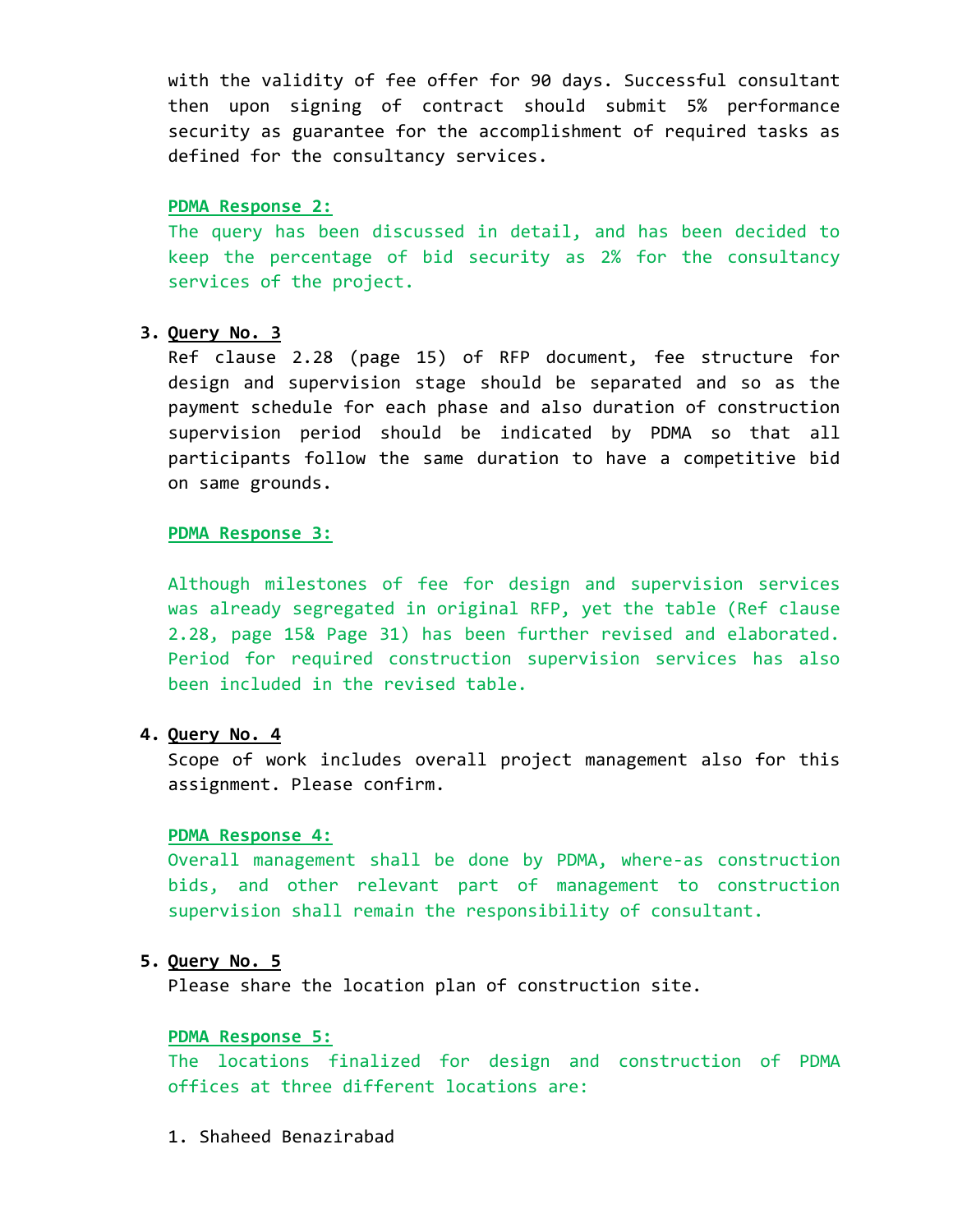with the validity of fee offer for 90 days. Successful consultant then upon signing of contract should submit 5% performance security as guarantee for the accomplishment of required tasks as defined for the consultancy services.

### **PDMA Response 2:**

The query has been discussed in detail, and has been decided to keep the percentage of bid security as 2% for the consultancy services of the project.

## **3. Query No. 3**

Ref clause 2.28 (page 15) of RFP document, fee structure for design and supervision stage should be separated and so as the payment schedule for each phase and also duration of construction supervision period should be indicated by PDMA so that all participants follow the same duration to have a competitive bid on same grounds.

#### **PDMA Response 3:**

Although milestones of fee for design and supervision services was already segregated in original RFP, yet the table (Ref clause 2.28, page 15& Page 31) has been further revised and elaborated. Period for required construction supervision services has also been included in the revised table.

### **4. Query No. 4**

Scope of work includes overall project management also for this assignment. Please confirm.

#### **PDMA Response 4:**

Overall management shall be done by PDMA, where-as construction bids, and other relevant part of management to construction supervision shall remain the responsibility of consultant.

## **5. Query No. 5**

Please share the location plan of construction site.

#### **PDMA Response 5:**

The locations finalized for design and construction of PDMA offices at three different locations are:

1. Shaheed Benazirabad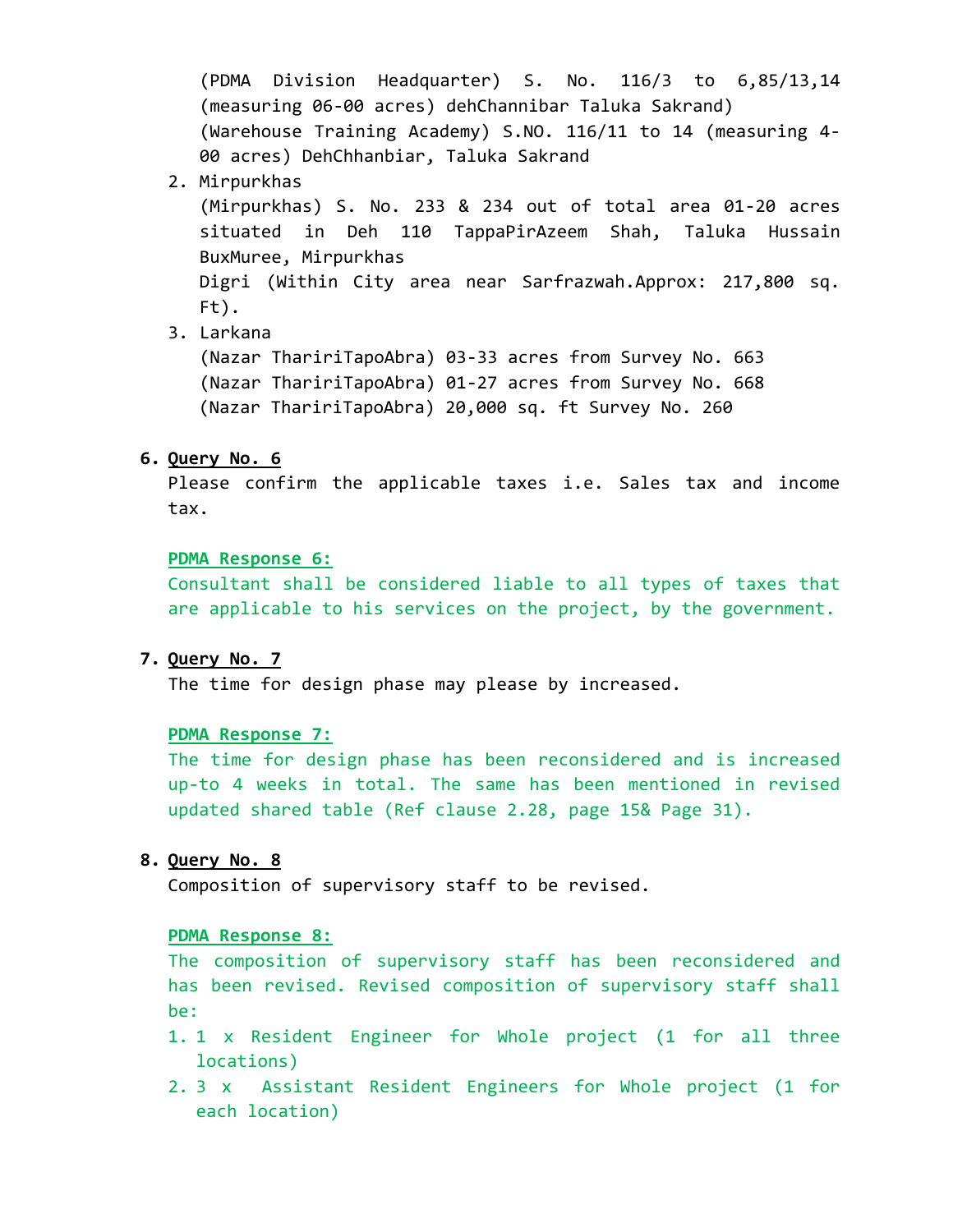(PDMA Division Headquarter) S. No. 116/3 to 6,85/13,14 (measuring 06-00 acres) dehChannibar Taluka Sakrand) (Warehouse Training Academy) S.NO. 116/11 to 14 (measuring 4- 00 acres) DehChhanbiar, Taluka Sakrand

2. Mirpurkhas

(Mirpurkhas) S. No. 233 & 234 out of total area 01-20 acres situated in Deh 110 TappaPirAzeem Shah, Taluka Hussain BuxMuree, Mirpurkhas Digri (Within City area near Sarfrazwah.Approx: 217,800 sq. Ft).

3. Larkana

(Nazar ThaririTapoAbra) 03-33 acres from Survey No. 663 (Nazar ThaririTapoAbra) 01-27 acres from Survey No. 668 (Nazar ThaririTapoAbra) 20,000 sq. ft Survey No. 260

# **6. Query No. 6**

Please confirm the applicable taxes i.e. Sales tax and income tax.

## **PDMA Response 6:**

Consultant shall be considered liable to all types of taxes that are applicable to his services on the project, by the government.

**7. Query No. 7**

The time for design phase may please by increased.

## **PDMA Response 7:**

The time for design phase has been reconsidered and is increased up-to 4 weeks in total. The same has been mentioned in revised updated shared table (Ref clause 2.28, page 15& Page 31).

## **8. Query No. 8**

Composition of supervisory staff to be revised.

## **PDMA Response 8:**

The composition of supervisory staff has been reconsidered and has been revised. Revised composition of supervisory staff shall be:

- 1. 1 x Resident Engineer for Whole project (1 for all three locations)
- 2. 3 x Assistant Resident Engineers for Whole project (1 for each location)